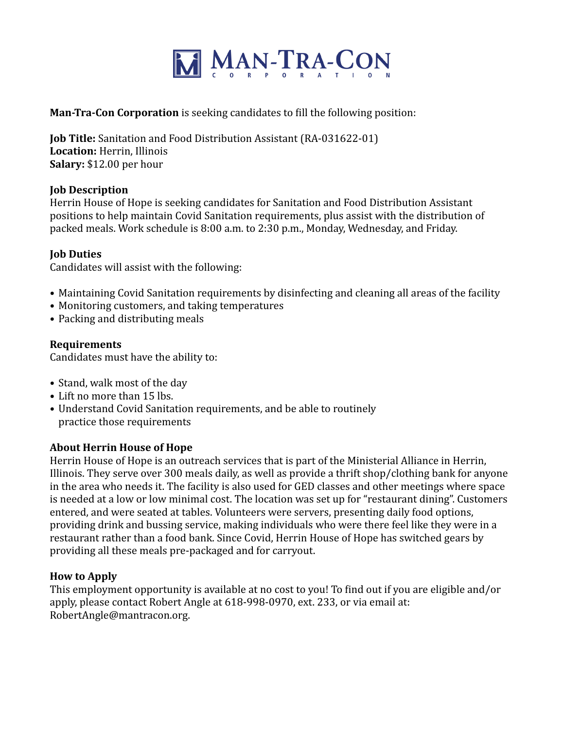

## **Man-Tra-Con Corporation** is seeking candidates to fill the following position:

**Job Title:** Sanitation and Food Distribution Assistant (RA-031622-01) Location: Herrin, Illinois **Salary:** \$12.00 per hour

## **Job Description**

Herrin House of Hope is seeking candidates for Sanitation and Food Distribution Assistant positions to help maintain Covid Sanitation requirements, plus assist with the distribution of packed meals. Work schedule is 8:00 a.m. to 2:30 p.m., Monday, Wednesday, and Friday.

### **Job Duties**

Candidates will assist with the following:

- Maintaining Covid Sanitation requirements by disinfecting and cleaning all areas of the facility
- Monitoring customers, and taking temperatures
- Packing and distributing meals

### **Requirements**

Candidates must have the ability to:

- Stand, walk most of the day
- Lift no more than 15 lbs.
- Understand Covid Sanitation requirements, and be able to routinely practice those requirements

## **About Herrin House of Hope**

Herrin House of Hope is an outreach services that is part of the Ministerial Alliance in Herrin, Illinois. They serve over 300 meals daily, as well as provide a thrift shop/clothing bank for anyone in the area who needs it. The facility is also used for GED classes and other meetings where space is needed at a low or low minimal cost. The location was set up for "restaurant dining". Customers entered, and were seated at tables. Volunteers were servers, presenting daily food options, providing drink and bussing service, making individuals who were there feel like they were in a restaurant rather than a food bank. Since Covid, Herrin House of Hope has switched gears by providing all these meals pre-packaged and for carryout.

#### **How to Apply**

This employment opportunity is available at no cost to you! To find out if you are eligible and/or apply, please contact Robert Angle at 618-998-0970, ext. 233, or via email at: RobertAngle@mantracon.org.